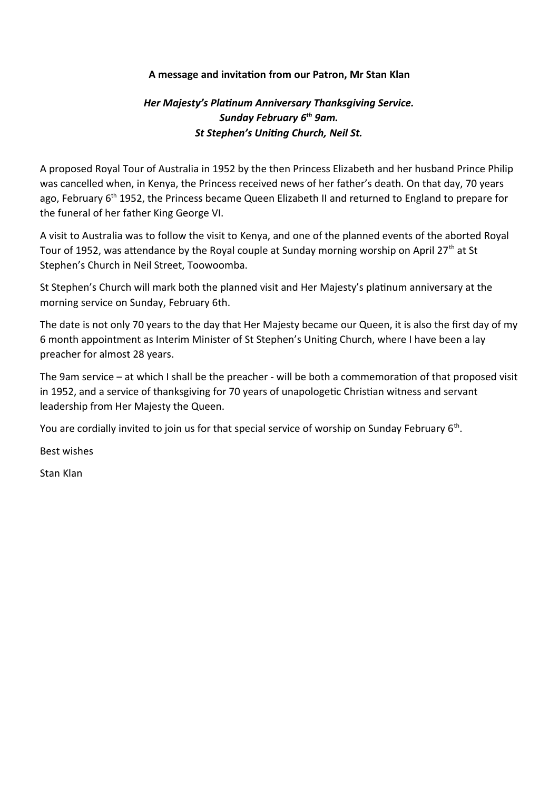## **A message and invitation from our Patron, Mr Stan Klan**

## *Her Majesty's Platinum Anniversary Thanksgiving Service. Sunday February 6th 9am. St Stephen's Uniting Church, Neil St.*

A proposed Royal Tour of Australia in 1952 by the then Princess Elizabeth and her husband Prince Philip was cancelled when, in Kenya, the Princess received news of her father's death. On that day, 70 years ago, February 6<sup>th</sup> 1952, the Princess became Queen Elizabeth II and returned to England to prepare for the funeral of her father King George VI.

A visit to Australia was to follow the visit to Kenya, and one of the planned events of the aborted Royal Tour of 1952, was attendance by the Royal couple at Sunday morning worship on April 27<sup>th</sup> at St Stephen's Church in Neil Street, Toowoomba.

St Stephen's Church will mark both the planned visit and Her Majesty's platinum anniversary at the morning service on Sunday, February 6th.

The date is not only 70 years to the day that Her Majesty became our Queen, it is also the first day of my 6 month appointment as Interim Minister of St Stephen's Uniting Church, where I have been a lay preacher for almost 28 years.

The 9am service – at which I shall be the preacher - will be both a commemoration of that proposed visit in 1952, and a service of thanksgiving for 70 years of unapologetic Christian witness and servant leadership from Her Majesty the Queen.

You are cordially invited to join us for that special service of worship on Sunday February 6<sup>th</sup>.

Best wishes

Stan Klan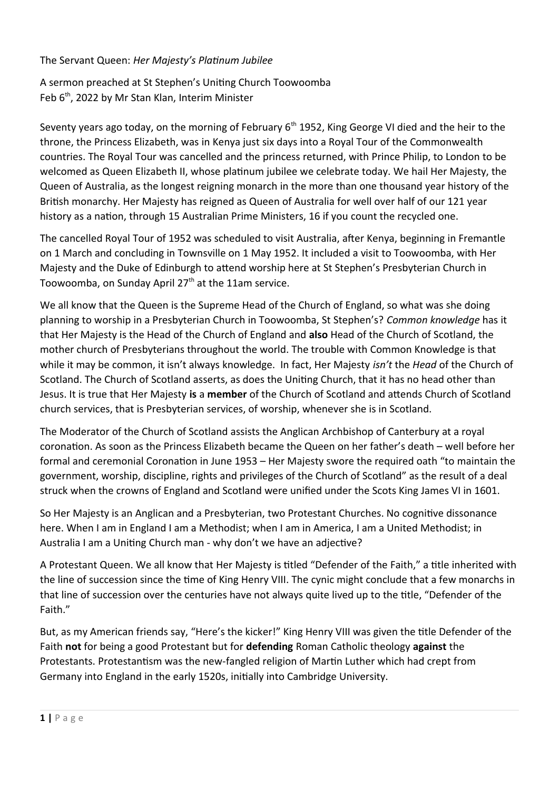## The Servant Queen: *Her Majesty's Platinum Jubilee*

A sermon preached at St Stephen's Uniting Church Toowoomba Feb  $6<sup>th</sup>$ , 2022 by Mr Stan Klan, Interim Minister

Seventy years ago today, on the morning of February  $6<sup>th</sup>$  1952, King George VI died and the heir to the throne, the Princess Elizabeth, was in Kenya just six days into a Royal Tour of the Commonwealth countries. The Royal Tour was cancelled and the princess returned, with Prince Philip, to London to be welcomed as Queen Elizabeth II, whose platinum jubilee we celebrate today. We hail Her Majesty, the Queen of Australia, as the longest reigning monarch in the more than one thousand year history of the British monarchy. Her Majesty has reigned as Queen of Australia for well over half of our 121 year history as a nation, through 15 Australian Prime Ministers, 16 if you count the recycled one.

The cancelled Royal Tour of 1952 was scheduled to visit Australia, after Kenya, beginning in Fremantle on 1 March and concluding in Townsville on 1 May 1952. It included a visit to Toowoomba, with Her Majesty and the Duke of Edinburgh to attend worship here at St Stephen's Presbyterian Church in Toowoomba, on Sunday April 27<sup>th</sup> at the 11am service.

We all know that the Queen is the Supreme Head of the Church of England, so what was she doing planning to worship in a Presbyterian Church in Toowoomba, St Stephen's? *Common knowledge* has it that Her Majesty is the Head of the Church of England and **also** Head of the Church of Scotland, the mother church of Presbyterians throughout the world. The trouble with Common Knowledge is that while it may be common, it isn't always knowledge. In fact, Her Majesty *isn't* the *Head* of the Church of Scotland. The Church of Scotland asserts, as does the Uniting Church, that it has no head other than Jesus. It is true that Her Majesty **is** a **member** of the Church of Scotland and attends Church of Scotland church services, that is Presbyterian services, of worship, whenever she is in Scotland.

The Moderator of the Church of Scotland assists the Anglican Archbishop of Canterbury at a royal coronation. As soon as the Princess Elizabeth became the Queen on her father's death – well before her formal and ceremonial Coronation in June 1953 – Her Majesty swore the required oath "to maintain the government, worship, discipline, rights and privileges of the Church of Scotland" as the result of a deal struck when the crowns of England and Scotland were unified under the Scots King James VI in 1601.

So Her Majesty is an Anglican and a Presbyterian, two Protestant Churches. No cognitive dissonance here. When I am in England I am a Methodist; when I am in America, I am a United Methodist; in Australia I am a Uniting Church man - why don't we have an adjective?

A Protestant Queen. We all know that Her Majesty is titled "Defender of the Faith," a title inherited with the line of succession since the time of King Henry VIII. The cynic might conclude that a few monarchs in that line of succession over the centuries have not always quite lived up to the title, "Defender of the Faith."

But, as my American friends say, "Here's the kicker!" King Henry VIII was given the title Defender of the Faith **not** for being a good Protestant but for **defending** Roman Catholic theology **against** the Protestants. Protestantism was the new-fangled religion of Martin Luther which had crept from Germany into England in the early 1520s, initially into Cambridge University.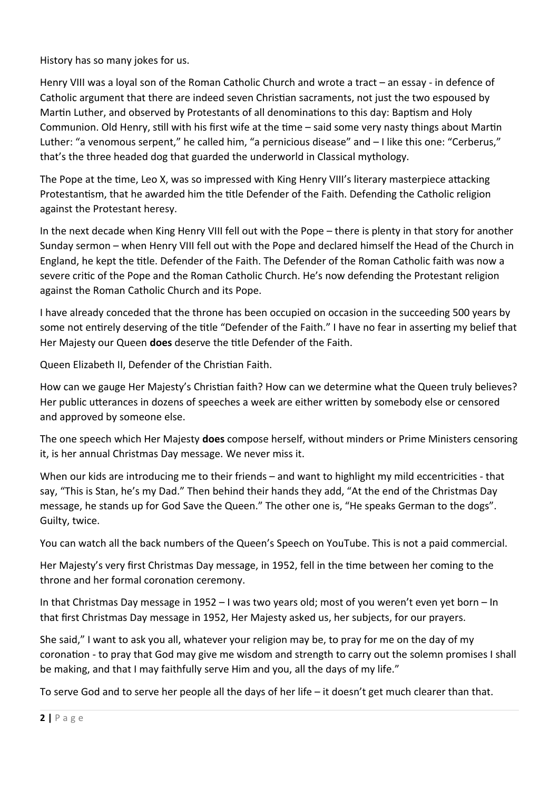History has so many jokes for us.

Henry VIII was a loyal son of the Roman Catholic Church and wrote a tract – an essay - in defence of Catholic argument that there are indeed seven Christian sacraments, not just the two espoused by Martin Luther, and observed by Protestants of all denominations to this day: Baptism and Holy Communion. Old Henry, still with his first wife at the time – said some very nasty things about Martin Luther: "a venomous serpent," he called him, "a pernicious disease" and – I like this one: "Cerberus," that's the three headed dog that guarded the underworld in Classical mythology.

The Pope at the time, Leo X, was so impressed with King Henry VIII's literary masterpiece attacking Protestantism, that he awarded him the title Defender of the Faith. Defending the Catholic religion against the Protestant heresy.

In the next decade when King Henry VIII fell out with the Pope – there is plenty in that story for another Sunday sermon – when Henry VIII fell out with the Pope and declared himself the Head of the Church in England, he kept the title. Defender of the Faith. The Defender of the Roman Catholic faith was now a severe critic of the Pope and the Roman Catholic Church. He's now defending the Protestant religion against the Roman Catholic Church and its Pope.

I have already conceded that the throne has been occupied on occasion in the succeeding 500 years by some not entirely deserving of the title "Defender of the Faith." I have no fear in asserting my belief that Her Majesty our Queen **does** deserve the title Defender of the Faith.

Queen Elizabeth II, Defender of the Christian Faith.

How can we gauge Her Majesty's Christian faith? How can we determine what the Queen truly believes? Her public utterances in dozens of speeches a week are either written by somebody else or censored and approved by someone else.

The one speech which Her Majesty **does** compose herself, without minders or Prime Ministers censoring it, is her annual Christmas Day message. We never miss it.

When our kids are introducing me to their friends – and want to highlight my mild eccentricities - that say, "This is Stan, he's my Dad." Then behind their hands they add, "At the end of the Christmas Day message, he stands up for God Save the Queen." The other one is, "He speaks German to the dogs". Guilty, twice.

You can watch all the back numbers of the Queen's Speech on YouTube. This is not a paid commercial.

Her Majesty's very first Christmas Day message, in 1952, fell in the time between her coming to the throne and her formal coronation ceremony.

In that Christmas Day message in 1952 – I was two years old; most of you weren't even yet born – In that first Christmas Day message in 1952, Her Majesty asked us, her subjects, for our prayers.

She said," I want to ask you all, whatever your religion may be, to pray for me on the day of my coronation - to pray that God may give me wisdom and strength to carry out the solemn promises I shall be making, and that I may faithfully serve Him and you, all the days of my life."

To serve God and to serve her people all the days of her life – it doesn't get much clearer than that.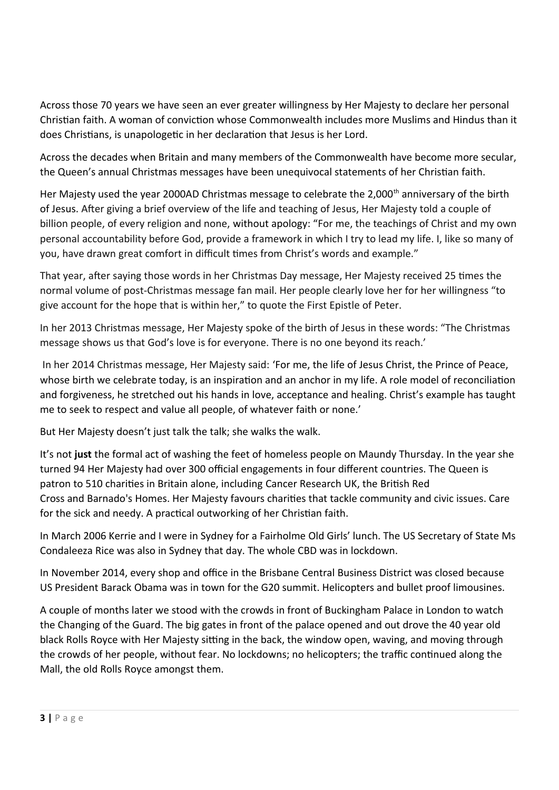Across those 70 years we have seen an ever greater willingness by Her Majesty to declare her personal Christian faith. A woman of conviction whose Commonwealth includes more Muslims and Hindus than it does Christians, is unapologetic in her declaration that Jesus is her Lord.

Across the decades when Britain and many members of the Commonwealth have become more secular, the Queen's annual Christmas messages have been unequivocal statements of her Christian faith.

Her Majesty used the year 2000AD Christmas message to celebrate the 2,000<sup>th</sup> anniversary of the birth of Jesus. After giving a brief overview of the life and teaching of Jesus, Her Majesty told a couple of billion people, of every religion and none, without apology: "For me, the teachings of Christ and my own personal accountability before God, provide a framework in which I try to lead my life. I, like so many of you, have drawn great comfort in difficult times from Christ's words and example."

That year, after saying those words in her Christmas Day message, Her Majesty received 25 times the normal volume of post-Christmas message fan mail. Her people clearly love her for her willingness "to give account for the hope that is within her," to quote the First Epistle of Peter.

In her 2013 Christmas message, Her Majesty spoke of the birth of Jesus in these words: "The Christmas message shows us that God's love is for everyone. There is no one beyond its reach.'

 In her 2014 Christmas message, Her Majesty said: 'For me, the life of Jesus Christ, the Prince of Peace, whose birth we celebrate today, is an inspiration and an anchor in my life. A role model of reconciliation and forgiveness, he stretched out his hands in love, acceptance and healing. Christ's example has taught me to seek to respect and value all people, of whatever faith or none.'

But Her Majesty doesn't just talk the talk; she walks the walk.

It's not **just** the formal act of washing the feet of homeless people on Maundy Thursday. In the year she turned 94 Her Majesty had over 300 official engagements in four different countries. The Queen is patron to 510 charities in Britain alone, including [Cancer Research UK](http://www.cancerresearchuk.org/), the [British Red](http://www.redcross.org.uk/)  [Cross](http://www.redcross.org.uk/) and [Barnado's](http://www.barnardos.org.uk/) Homes. Her Majesty favours charities that tackle community and civic issues. Care for the sick and needy. A practical outworking of her Christian faith.

In March 2006 Kerrie and I were in Sydney for a Fairholme Old Girls' lunch. The US Secretary of State Ms Condaleeza Rice was also in Sydney that day. The whole CBD was in lockdown.

In November 2014, every shop and office in the Brisbane Central Business District was closed because US President Barack Obama was in town for the G20 summit. Helicopters and bullet proof limousines.

A couple of months later we stood with the crowds in front of Buckingham Palace in London to watch the Changing of the Guard. The big gates in front of the palace opened and out drove the 40 year old black Rolls Royce with Her Majesty sitting in the back, the window open, waving, and moving through the crowds of her people, without fear. No lockdowns; no helicopters; the traffic continued along the Mall, the old Rolls Royce amongst them.